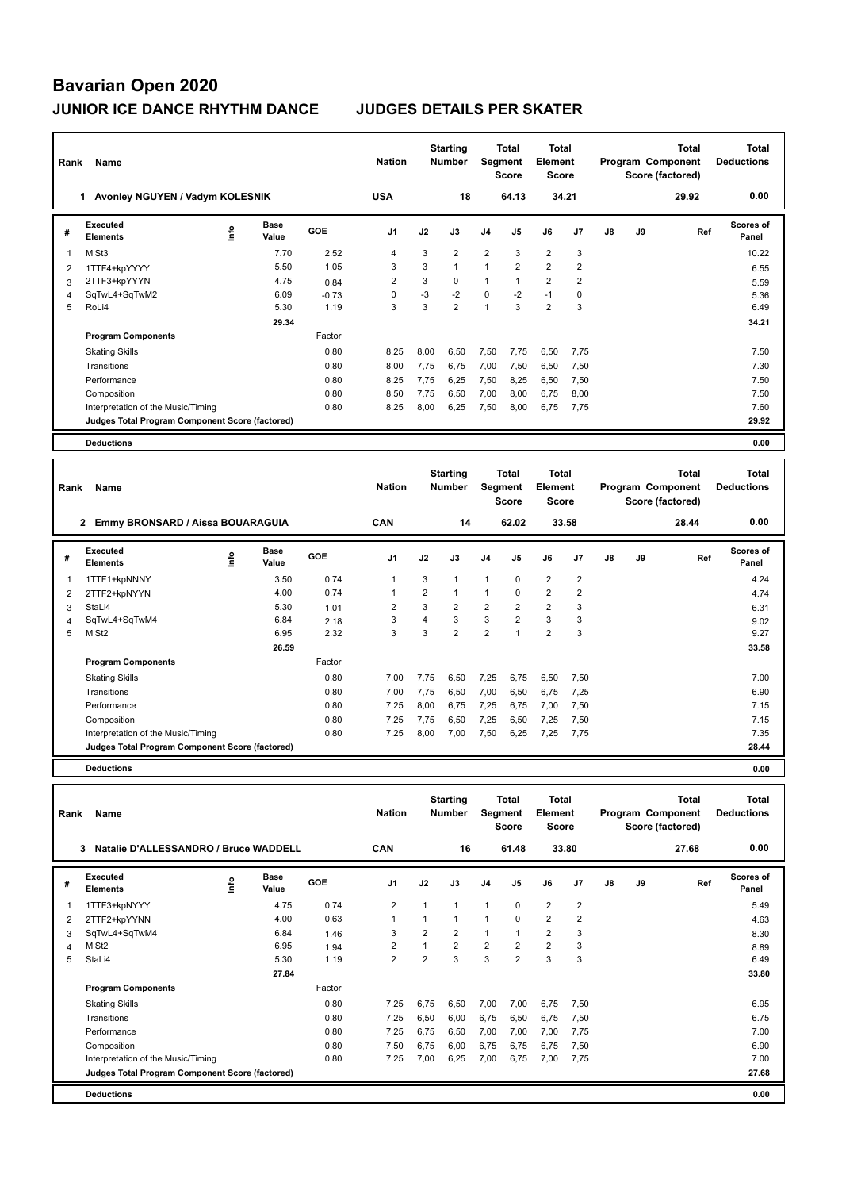| Rank           | Name                                            |      |                      |            | <b>Nation</b>  |                | <b>Starting</b><br><b>Number</b> | <b>Segment</b> | <b>Total</b><br><b>Score</b> | <b>Total</b><br>Element<br><b>Score</b> |                |    |    | <b>Total</b><br>Program Component<br>Score (factored) | <b>Total</b><br><b>Deductions</b> |
|----------------|-------------------------------------------------|------|----------------------|------------|----------------|----------------|----------------------------------|----------------|------------------------------|-----------------------------------------|----------------|----|----|-------------------------------------------------------|-----------------------------------|
|                | 1 Avonley NGUYEN / Vadym KOLESNIK               |      |                      |            | <b>USA</b>     |                | 18                               |                | 64.13                        | 34.21                                   |                |    |    | 29.92                                                 | 0.00                              |
| #              | Executed<br><b>Elements</b>                     | lnfo | <b>Base</b><br>Value | GOE        | J <sub>1</sub> | J2             | J3                               | J <sub>4</sub> | J <sub>5</sub>               | J6                                      | J7             | J8 | J9 | Ref                                                   | <b>Scores of</b><br>Panel         |
| 1              | MiSt3                                           |      | 7.70                 | 2.52       | $\overline{4}$ | 3              | $\overline{2}$                   | $\overline{2}$ | 3                            | $\overline{2}$                          | 3              |    |    |                                                       | 10.22                             |
| $\overline{2}$ | 1TTF4+kpYYYY                                    |      | 5.50                 | 1.05       | 3              | 3              | $\mathbf{1}$                     | $\mathbf{1}$   | $\overline{2}$               | $\overline{2}$                          | $\overline{2}$ |    |    |                                                       | 6.55                              |
| 3              | 2TTF3+kpYYYN                                    |      | 4.75                 | 0.84       | $\overline{2}$ | 3              | $\Omega$                         | $\mathbf{1}$   | $\mathbf{1}$                 | $\overline{2}$                          | $\overline{2}$ |    |    |                                                       | 5.59                              |
| $\overline{4}$ | SqTwL4+SqTwM2                                   |      | 6.09                 | $-0.73$    | $\mathbf 0$    | $-3$           | $-2$                             | $\mathbf 0$    | $-2$                         | $-1$                                    | 0              |    |    |                                                       | 5.36                              |
| 5              | RoLi4                                           |      | 5.30                 | 1.19       | 3              | 3              | $\overline{2}$                   | $\mathbf{1}$   | 3                            | $\overline{2}$                          | 3              |    |    |                                                       | 6.49                              |
|                |                                                 |      | 29.34                |            |                |                |                                  |                |                              |                                         |                |    |    |                                                       | 34.21                             |
|                | <b>Program Components</b>                       |      |                      | Factor     |                |                |                                  |                |                              |                                         |                |    |    |                                                       |                                   |
|                | <b>Skating Skills</b>                           |      |                      | 0.80       | 8,25           | 8,00           | 6,50                             | 7,50           | 7,75                         | 6,50                                    | 7,75           |    |    |                                                       | 7.50                              |
|                | Transitions                                     |      |                      | 0.80       | 8,00           | 7,75           | 6,75                             | 7,00           | 7,50                         | 6,50                                    | 7,50           |    |    |                                                       | 7.30                              |
|                | Performance                                     |      |                      | 0.80       | 8,25           | 7,75           | 6,25                             | 7,50           | 8,25                         | 6,50                                    | 7,50           |    |    |                                                       | 7.50                              |
|                | Composition                                     |      |                      | 0.80       | 8,50           | 7,75           | 6,50                             | 7,00           | 8,00                         | 6,75                                    | 8,00           |    |    |                                                       | 7.50                              |
|                | Interpretation of the Music/Timing              |      |                      | 0.80       | 8,25           | 8,00           | 6,25                             | 7,50           | 8,00                         | 6,75                                    | 7,75           |    |    |                                                       | 7.60                              |
|                | Judges Total Program Component Score (factored) |      |                      |            |                |                |                                  |                |                              |                                         |                |    |    |                                                       | 29.92                             |
|                |                                                 |      |                      |            |                |                |                                  |                |                              |                                         |                |    |    |                                                       |                                   |
|                | <b>Deductions</b>                               |      |                      |            |                |                |                                  |                |                              |                                         |                |    |    |                                                       | 0.00                              |
| Rank           | Name                                            |      |                      |            | <b>Nation</b>  |                | <b>Starting</b><br><b>Number</b> | Segment        | <b>Total</b><br><b>Score</b> | <b>Total</b><br>Element<br><b>Score</b> |                |    |    | <b>Total</b><br>Program Component<br>Score (factored) | <b>Total</b><br><b>Deductions</b> |
|                | 2 Emmy BRONSARD / Aissa BOUARAGUIA              |      |                      |            | CAN            |                | 14                               |                | 62.02                        | 33.58                                   |                |    |    | 28.44                                                 | 0.00                              |
| #              | <b>Executed</b><br><b>Elements</b>              | ۴۵   | <b>Base</b><br>Value | <b>GOE</b> | J1             | J2             | J3                               | J <sub>4</sub> | J5                           | J6                                      | J7             | J8 | J9 | Ref                                                   | <b>Scores of</b><br>Panel         |
| 1              | 1TTF1+kpNNNY                                    |      | 3.50                 | 0.74       | $\overline{1}$ | 3              | $\mathbf{1}$                     | $\mathbf{1}$   | 0                            | $\overline{2}$                          | 2              |    |    |                                                       | 4.24                              |
| 2              | 2TTF2+kpNYYN                                    |      | 4.00                 | 0.74       | $\overline{1}$ | $\overline{2}$ | $\mathbf{1}$                     | $\mathbf{1}$   | $\Omega$                     | $\overline{2}$                          | $\overline{2}$ |    |    |                                                       | 4.74                              |

|   | ---------                                       | - |       |        |                |      |                |      |                          |                |      | .     |
|---|-------------------------------------------------|---|-------|--------|----------------|------|----------------|------|--------------------------|----------------|------|-------|
|   | 1TTF1+kpNNNY                                    |   | 3.50  | 0.74   |                | 3    |                |      | 0                        | 2              | 2    | 4.24  |
| 2 | 2TTF2+kpNYYN                                    |   | 4.00  | 0.74   |                | 2    |                |      | 0                        | 2              | 2    | 4.74  |
| 3 | StaLi4                                          |   | 5.30  | 1.01   | $\overline{2}$ | 3    | $\overline{2}$ | 2    | 2                        | $\overline{2}$ | 3    | 6.31  |
| 4 | SqTwL4+SqTwM4                                   |   | 6.84  | 2.18   | 3              | 4    | 3              | 3    | 2                        | 3              | 3    | 9.02  |
| 5 | MiSt <sub>2</sub>                               |   | 6.95  | 2.32   | 3              | 3    | 2              | 2    | $\overline{\phantom{a}}$ | $\overline{2}$ | 3    | 9.27  |
|   |                                                 |   | 26.59 |        |                |      |                |      |                          |                |      | 33.58 |
|   | <b>Program Components</b>                       |   |       | Factor |                |      |                |      |                          |                |      |       |
|   | <b>Skating Skills</b>                           |   |       | 0.80   | 7,00           | 7,75 | 6,50           | 7,25 | 6,75                     | 6,50           | 7,50 | 7.00  |
|   | Transitions                                     |   |       | 0.80   | 7,00           | 7,75 | 6,50           | 7,00 | 6,50                     | 6,75           | 7,25 | 6.90  |
|   | Performance                                     |   |       | 0.80   | 7,25           | 8,00 | 6,75           | 7,25 | 6,75                     | 7,00           | 7,50 | 7.15  |
|   | Composition                                     |   |       | 0.80   | 7,25           | 7,75 | 6,50           | 7,25 | 6,50                     | 7,25           | 7,50 | 7.15  |
|   | Interpretation of the Music/Timing              |   |       | 0.80   | 7,25           | 8,00 | 7,00           | 7,50 | 6,25                     | 7,25           | 7,75 | 7.35  |
|   | Judges Total Program Component Score (factored) |   |       |        |                |      |                |      |                          |                |      | 28.44 |
|   | <b>Deductions</b>                               |   |       |        |                |      |                |      |                          |                |      | 0.00  |

| Rank | Name                                            |      |                      |        | <b>Nation</b>  |                | <b>Starting</b><br><b>Number</b> | Segment        | <b>Total</b><br><b>Score</b> | <b>Total</b><br>Element<br>Score |                |    |    | <b>Total</b><br>Program Component<br>Score (factored) | <b>Total</b><br><b>Deductions</b> |
|------|-------------------------------------------------|------|----------------------|--------|----------------|----------------|----------------------------------|----------------|------------------------------|----------------------------------|----------------|----|----|-------------------------------------------------------|-----------------------------------|
|      | Natalie D'ALLESSANDRO / Bruce WADDELL<br>3      |      |                      |        | <b>CAN</b>     |                | 16                               |                | 61.48                        |                                  | 33.80          |    |    | 27.68                                                 | 0.00                              |
| #    | Executed<br><b>Elements</b>                     | lnfo | <b>Base</b><br>Value | GOE    | J <sub>1</sub> | J2             | J3                               | J4             | J5                           | J6                               | J <sub>7</sub> | J8 | J9 | Ref                                                   | <b>Scores of</b><br>Panel         |
| 1    | 1TTF3+kpNYYY                                    |      | 4.75                 | 0.74   | $\overline{2}$ | 1              | $\mathbf{1}$                     | 1              | 0                            | $\overline{2}$                   | $\overline{2}$ |    |    |                                                       | 5.49                              |
| 2    | 2TTF2+kpYYNN                                    |      | 4.00                 | 0.63   | 1              | 1              | 1                                | 1              | 0                            | $\overline{2}$                   | 2              |    |    |                                                       | 4.63                              |
| 3    | SqTwL4+SqTwM4                                   |      | 6.84                 | 1.46   | 3              | $\overline{2}$ | $\overline{2}$                   | 1              | $\overline{1}$               | $\overline{2}$                   | 3              |    |    |                                                       | 8.30                              |
| 4    | MiSt <sub>2</sub>                               |      | 6.95                 | 1.94   | $\overline{2}$ | 1              | $\overline{2}$                   | $\overline{2}$ | $\overline{2}$               | $\overline{2}$                   | 3              |    |    |                                                       | 8.89                              |
| 5    | StaLi4                                          |      | 5.30                 | 1.19   | $\overline{2}$ | $\overline{2}$ | 3                                | 3              | $\overline{2}$               | 3                                | 3              |    |    |                                                       | 6.49                              |
|      |                                                 |      | 27.84                |        |                |                |                                  |                |                              |                                  |                |    |    |                                                       | 33.80                             |
|      | <b>Program Components</b>                       |      |                      | Factor |                |                |                                  |                |                              |                                  |                |    |    |                                                       |                                   |
|      | <b>Skating Skills</b>                           |      |                      | 0.80   | 7,25           | 6,75           | 6,50                             | 7,00           | 7,00                         | 6,75                             | 7,50           |    |    |                                                       | 6.95                              |
|      | Transitions                                     |      |                      | 0.80   | 7,25           | 6,50           | 6,00                             | 6,75           | 6,50                         | 6,75                             | 7,50           |    |    |                                                       | 6.75                              |
|      | Performance                                     |      |                      | 0.80   | 7,25           | 6,75           | 6,50                             | 7,00           | 7,00                         | 7,00                             | 7,75           |    |    |                                                       | 7.00                              |
|      | Composition                                     |      |                      | 0.80   | 7,50           | 6,75           | 6,00                             | 6,75           | 6,75                         | 6,75                             | 7,50           |    |    |                                                       | 6.90                              |
|      | Interpretation of the Music/Timing              |      |                      | 0.80   | 7,25           | 7,00           | 6,25                             | 7,00           | 6,75                         | 7,00                             | 7,75           |    |    |                                                       | 7.00                              |
|      | Judges Total Program Component Score (factored) |      |                      |        |                |                |                                  |                |                              |                                  |                |    |    |                                                       | 27.68                             |
|      | <b>Deductions</b>                               |      |                      |        |                |                |                                  |                |                              |                                  |                |    |    |                                                       | 0.00                              |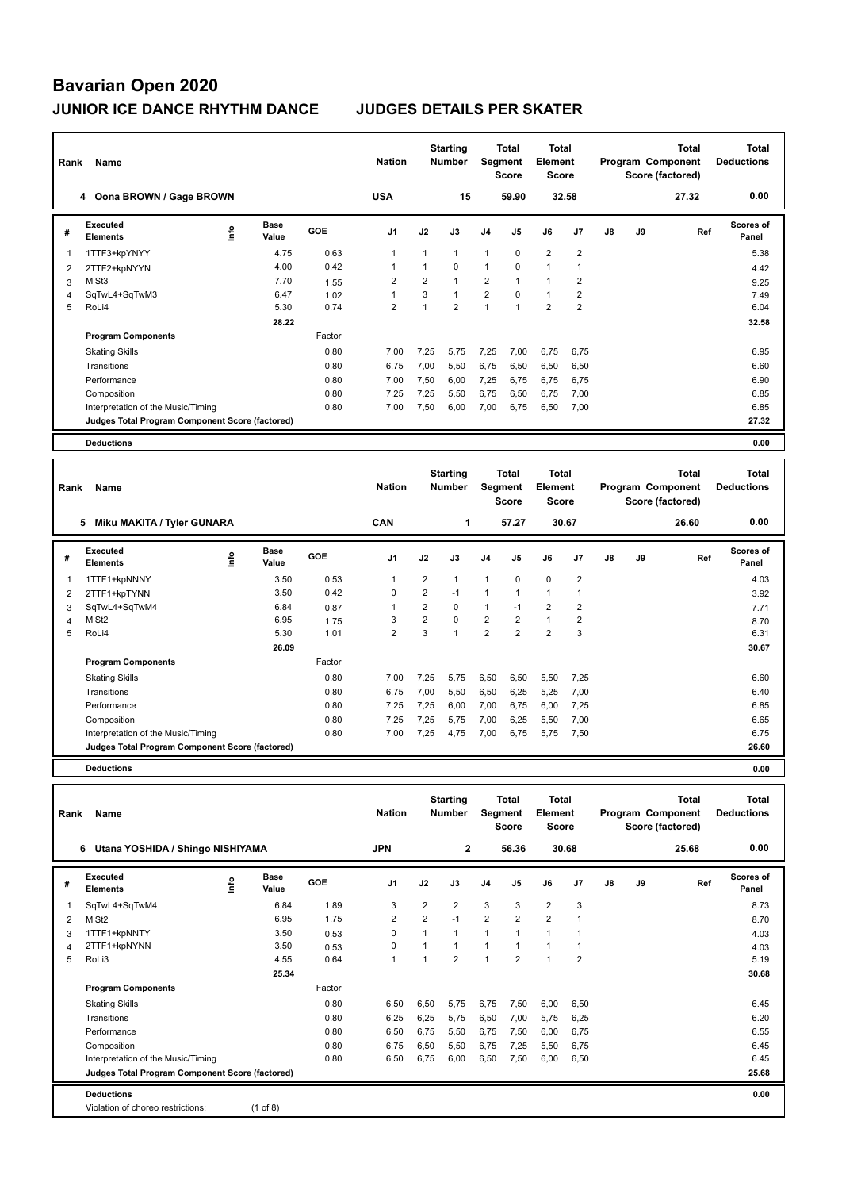| Rank           | Name                                            |      |                      |        | <b>Nation</b>  |                | <b>Starting</b><br><b>Number</b> |                | <b>Total</b><br>Segment<br><b>Score</b> | <b>Total</b><br>Element<br><b>Score</b> |                |               |    | <b>Total</b><br>Program Component<br>Score (factored) | <b>Total</b><br><b>Deductions</b> |
|----------------|-------------------------------------------------|------|----------------------|--------|----------------|----------------|----------------------------------|----------------|-----------------------------------------|-----------------------------------------|----------------|---------------|----|-------------------------------------------------------|-----------------------------------|
|                | 4 Oona BROWN / Gage BROWN                       |      |                      |        | <b>USA</b>     |                | 15                               |                | 59.90                                   |                                         | 32.58          |               |    | 27.32                                                 | 0.00                              |
| #              | <b>Executed</b><br><b>Elements</b>              | ١nfo | <b>Base</b><br>Value | GOE    | J <sub>1</sub> | J2             | J3                               | J <sub>4</sub> | J5                                      | J6                                      | J <sub>7</sub> | $\mathsf{J}8$ | J9 | Ref                                                   | <b>Scores of</b><br>Panel         |
| 1              | 1TTF3+kpYNYY                                    |      | 4.75                 | 0.63   | $\mathbf{1}$   | $\mathbf{1}$   | $\mathbf{1}$                     | 1              | $\mathbf 0$                             | $\overline{2}$                          | $\overline{2}$ |               |    |                                                       | 5.38                              |
| $\overline{2}$ | 2TTF2+kpNYYN                                    |      | 4.00                 | 0.42   | $\overline{1}$ | $\mathbf{1}$   | $\Omega$                         | $\mathbf{1}$   | $\Omega$                                | $\mathbf{1}$                            | $\overline{1}$ |               |    |                                                       | 4.42                              |
| 3              | MiSt3                                           |      | 7.70                 | 1.55   | 2              | $\overline{2}$ | $\mathbf{1}$                     | $\overline{2}$ | $\mathbf{1}$                            | $\mathbf{1}$                            | 2              |               |    |                                                       | 9.25                              |
| $\overline{4}$ | SqTwL4+SqTwM3                                   |      | 6.47                 | 1.02   | $\mathbf{1}$   | 3              | $\mathbf{1}$                     | $\overline{2}$ | $\mathbf 0$                             | $\mathbf{1}$                            | $\overline{2}$ |               |    |                                                       | 7.49                              |
| 5              | RoLi4                                           |      | 5.30                 | 0.74   | $\overline{2}$ | $\mathbf{1}$   | $\overline{2}$                   | $\mathbf{1}$   | $\mathbf{1}$                            | $\overline{2}$                          | $\overline{2}$ |               |    |                                                       | 6.04                              |
|                |                                                 |      | 28.22                |        |                |                |                                  |                |                                         |                                         |                |               |    |                                                       | 32.58                             |
|                | <b>Program Components</b>                       |      |                      | Factor |                |                |                                  |                |                                         |                                         |                |               |    |                                                       |                                   |
|                | <b>Skating Skills</b>                           |      |                      | 0.80   | 7.00           | 7,25           | 5.75                             | 7,25           | 7,00                                    | 6,75                                    | 6.75           |               |    |                                                       | 6.95                              |
|                | Transitions                                     |      |                      | 0.80   | 6,75           | 7,00           | 5,50                             | 6,75           | 6,50                                    | 6,50                                    | 6,50           |               |    |                                                       | 6.60                              |
|                | Performance                                     |      |                      | 0.80   | 7,00           | 7,50           | 6,00                             | 7,25           | 6,75                                    | 6,75                                    | 6,75           |               |    |                                                       | 6.90                              |
|                | Composition                                     |      |                      | 0.80   | 7,25           | 7,25           | 5,50                             | 6,75           | 6,50                                    | 6,75                                    | 7,00           |               |    |                                                       | 6.85                              |
|                | Interpretation of the Music/Timing              |      |                      | 0.80   | 7,00           | 7,50           | 6,00                             | 7,00           | 6,75                                    | 6,50                                    | 7,00           |               |    |                                                       | 6.85                              |
|                | Judges Total Program Component Score (factored) |      |                      |        |                |                |                                  |                |                                         |                                         |                |               |    |                                                       | 27.32                             |
|                | <b>Deductions</b>                               |      |                      |        |                |                |                                  |                |                                         |                                         |                |               |    |                                                       | 0.00                              |
|                |                                                 |      |                      |        |                |                |                                  |                |                                         |                                         |                |               |    |                                                       |                                   |
| Rank           | Name                                            |      |                      |        | <b>Nation</b>  |                | <b>Starting</b><br><b>Number</b> |                | <b>Total</b><br>Segment<br><b>Score</b> | <b>Total</b><br>Element<br><b>Score</b> |                |               |    | <b>Total</b><br>Program Component<br>Score (factored) | Total<br><b>Deductions</b>        |
|                | <b>Miku MAKITA / Tyler GUNARA</b><br>5          |      |                      |        | CAN            |                | 1                                |                | 57.27                                   |                                         | 30.67          |               |    | 26.60                                                 | 0.00                              |
| #              | <b>Executed</b><br><b>Elements</b>              | ١nf٥ | <b>Base</b><br>Value | GOE    | J <sub>1</sub> | J2             | J3                               | J <sub>4</sub> | J5                                      | J6                                      | J <sub>7</sub> | $\mathsf{J}8$ | J9 | Ref                                                   | <b>Scores of</b><br>Panel         |
| 1              | 1TTF1+kpNNNY                                    |      | 3.50                 | 0.53   | $\mathbf{1}$   | 2              | $\mathbf{1}$                     | $\mathbf{1}$   | $\mathbf 0$                             | $\mathbf 0$                             | $\overline{2}$ |               |    |                                                       | 4.03                              |
|                |                                                 |      | 2E                   | 0.42   | $\sim$         | $\sim$         | $\overline{A}$                   | $\overline{A}$ | $\overline{A}$                          | $\overline{A}$                          | $\overline{A}$ |               |    |                                                       | 0.00                              |

| # | Executed<br><b>Elements</b>                     | ۴ | Base<br>Value | <b>GOE</b> | J1   | J2             | J3       | J <sub>4</sub> | J5   | J6             | J7             | J8 | J9 | Ref | <b>Scores of</b><br>Panel |
|---|-------------------------------------------------|---|---------------|------------|------|----------------|----------|----------------|------|----------------|----------------|----|----|-----|---------------------------|
|   | 1TTF1+kpNNNY                                    |   | 3.50          | 0.53       |      | 2              |          |                | 0    | $\mathbf 0$    | $\overline{2}$ |    |    |     | 4.03                      |
| 2 | 2TTF1+kpTYNN                                    |   | 3.50          | 0.42       | 0    | 2              | $-1$     |                | 1    | 1              |                |    |    |     | 3.92                      |
| 3 | SqTwL4+SqTwM4                                   |   | 6.84          | 0.87       |      | $\overline{2}$ | 0        | ٠              | $-1$ | 2              | 2              |    |    |     | 7.71                      |
| 4 | MiSt2                                           |   | 6.95          | 1.75       | 3    | 2              | $\Omega$ | 2              | 2    |                | 2              |    |    |     | 8.70                      |
| 5 | RoLi4                                           |   | 5.30          | 1.01       | 2    | 3              |          | 2              | 2    | $\overline{2}$ | 3              |    |    |     | 6.31                      |
|   |                                                 |   | 26.09         |            |      |                |          |                |      |                |                |    |    |     | 30.67                     |
|   | <b>Program Components</b>                       |   |               | Factor     |      |                |          |                |      |                |                |    |    |     |                           |
|   | <b>Skating Skills</b>                           |   |               | 0.80       | 7,00 | 7,25           | 5,75     | 6,50           | 6,50 | 5,50           | 7,25           |    |    |     | 6.60                      |
|   | Transitions                                     |   |               | 0.80       | 6,75 | 7,00           | 5,50     | 6,50           | 6,25 | 5,25           | 7,00           |    |    |     | 6.40                      |
|   | Performance                                     |   |               | 0.80       | 7,25 | 7,25           | 6,00     | 7,00           | 6,75 | 6,00           | 7,25           |    |    |     | 6.85                      |
|   | Composition                                     |   |               | 0.80       | 7,25 | 7,25           | 5,75     | 7,00           | 6,25 | 5,50           | 7,00           |    |    |     | 6.65                      |
|   | Interpretation of the Music/Timing              |   |               | 0.80       | 7,00 | 7,25           | 4,75     | 7,00           | 6,75 | 5,75           | 7,50           |    |    |     | 6.75                      |
|   | Judges Total Program Component Score (factored) |   |               |            |      |                |          |                |      |                |                |    |    |     | 26.60                     |
|   | <b>Deductions</b>                               |   |               |            |      |                |          |                |      |                |                |    |    |     | 0.00                      |

**Total Deductions Total Program Component Score (factored) Total Element Score Total Segment Score Starting Rank Name Nation Number # Executed Elements Base Value GOE J1 J2 J3 J4 J5 J6 J7 J8 J9 Scores of Panel** 1 6.84 1.89 3 2 2 3 3 2 3 **Ref**  SqTwL4+SqTwM4 8.73 **Info 6 Utana YOSHIDA / Shingo NISHIYAMA JPN 2 56.36 30.68 25.68 0.00** 2 MiSt2 6.95 1.75 2 2 -1 2 2 2 1 8.70 3 1TTF1+kpNNTY 3.50 0.53 0 1 1 1 1 1 1 4.03 4 2TTF1+kpNYNN 3.50 0.53 0 1 1 1 1 1 1 4.03 5 RoLi3 4.55 0.64 1 1 2 1 2 1 2 5.19  **25.34 30.68 Program Components**  Skating Skills 6,50 6,50 6,50 6,50 6,75 6,75 6,00 6,50 6,50 Factor 0.80 6,50 6,50 5,75 6,75 7,50 6,00 6,50 Transitions 0.80 6,25 6,25 5,75 6,50 7,00 5,75 6,25 6.20 Performance 0.80 6,50 6,75 5,50 6,75 7,50 6,00 6,75 6.55 Composition 0.80 6,75 6,50 5,50 6,75 7,25 5,50 6,75 6.45 Interpretation of the Music/Timing 0.80 6,50 6,75 6,00 6,50 7,50 6,00 6,50 6.45 **Deductions 0.00 Judges Total Program Component Score (factored) 25.68** Violation of choreo restrictions: (1 of 8)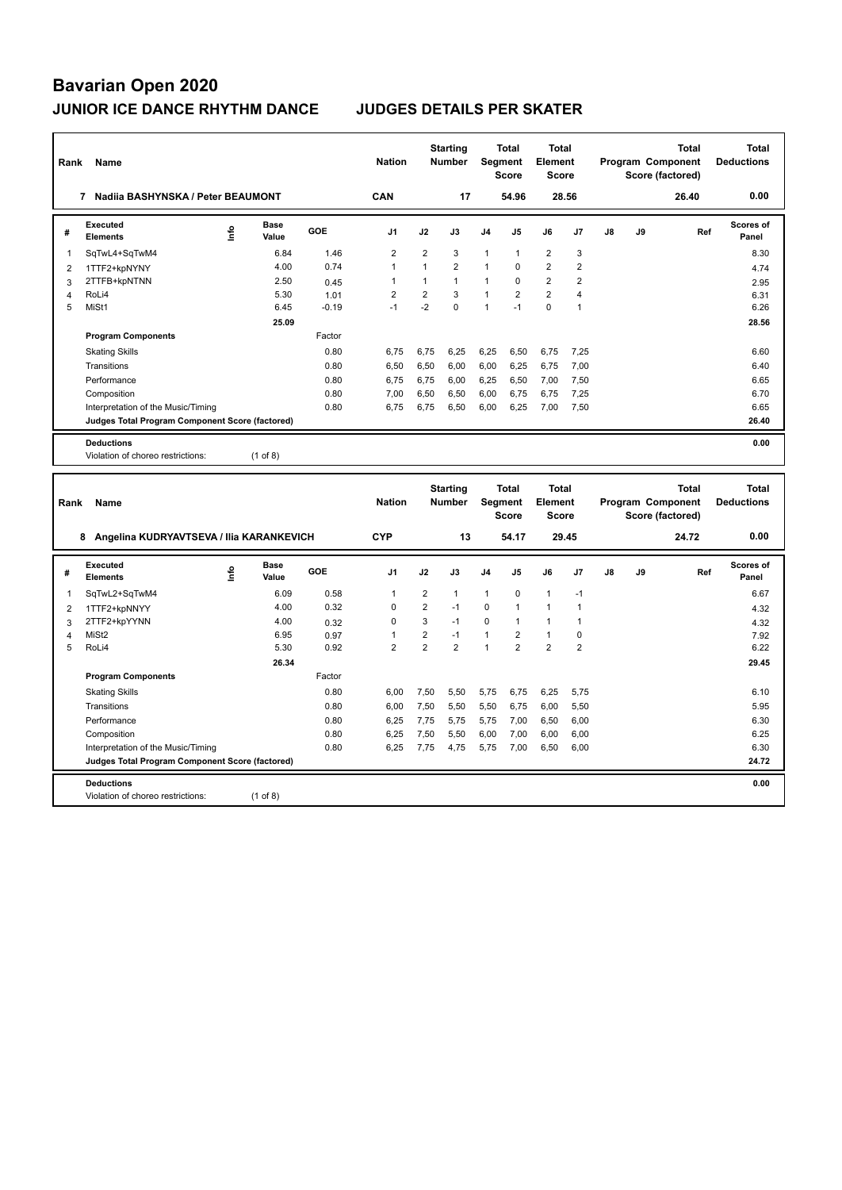| Rank           | Name                                                   |      |                      |              | <b>Nation</b>  |                | <b>Starting</b><br><b>Number</b> |              | <b>Total</b><br>Segment<br><b>Score</b> | <b>Total</b><br><b>Element</b><br><b>Score</b> |                |    |    | <b>Total</b><br>Program Component<br>Score (factored) |     | <b>Total</b><br><b>Deductions</b> |
|----------------|--------------------------------------------------------|------|----------------------|--------------|----------------|----------------|----------------------------------|--------------|-----------------------------------------|------------------------------------------------|----------------|----|----|-------------------------------------------------------|-----|-----------------------------------|
|                | 7 Nadiia BASHYNSKA / Peter BEAUMONT                    |      |                      |              | CAN            |                | 17                               |              | 54.96                                   |                                                | 28.56          |    |    | 26.40                                                 |     | 0.00                              |
| #              | <b>Executed</b><br><b>Elements</b>                     | ١nfo | Base<br>Value        | GOE          | J1             | J2             | J3                               | J4           | J5                                      | J6                                             | J7             | J8 | J9 |                                                       | Ref | Scores of<br>Panel                |
| 1              | SqTwL4+SqTwM4                                          |      | 6.84                 | 1.46         | $\overline{2}$ | $\overline{2}$ | 3                                | $\mathbf{1}$ | $\mathbf{1}$                            | $\overline{2}$                                 | 3              |    |    |                                                       |     | 8.30                              |
| $\overline{2}$ | 1TTF2+kpNYNY                                           |      | 4.00                 | 0.74         | $\mathbf{1}$   | $\mathbf{1}$   | $\overline{2}$                   | 1            | $\mathbf 0$                             | $\overline{2}$                                 | $\overline{2}$ |    |    |                                                       |     | 4.74                              |
| 3              | 2TTFB+kpNTNN                                           |      | 2.50                 | 0.45         | $\mathbf{1}$   | $\mathbf{1}$   | $\mathbf{1}$                     | 1            | $\mathsf 0$                             | $\overline{2}$                                 | $\overline{2}$ |    |    |                                                       |     | 2.95                              |
| $\overline{4}$ | RoLi4                                                  |      | 5.30                 | 1.01         | $\overline{2}$ | $\overline{2}$ | 3                                | 1            | $\overline{2}$                          | $\overline{2}$                                 | $\overline{4}$ |    |    |                                                       |     | 6.31                              |
| 5              | MiSt1                                                  |      | 6.45                 | $-0.19$      | $-1$           | $-2$           | $\Omega$                         | 1            | $-1$                                    | $\Omega$                                       | 1              |    |    |                                                       |     | 6.26                              |
|                |                                                        |      | 25.09                |              |                |                |                                  |              |                                         |                                                |                |    |    |                                                       |     | 28.56                             |
|                | <b>Program Components</b>                              |      |                      | Factor       |                |                |                                  |              |                                         |                                                |                |    |    |                                                       |     |                                   |
|                | <b>Skating Skills</b>                                  |      |                      | 0.80         | 6,75           | 6,75           | 6,25                             | 6,25         | 6,50                                    | 6,75                                           | 7,25           |    |    |                                                       |     | 6.60                              |
|                | Transitions                                            |      |                      | 0.80         | 6.50           | 6,50           | 6,00                             | 6,00         | 6,25                                    | 6,75                                           | 7,00           |    |    |                                                       |     | 6.40                              |
|                | Performance                                            |      |                      | 0.80         | 6,75           | 6,75           | 6,00                             | 6,25         | 6,50                                    | 7,00                                           | 7,50           |    |    |                                                       |     | 6.65                              |
|                | Composition                                            |      |                      | 0.80         | 7,00           | 6,50           | 6,50                             | 6,00         | 6,75                                    | 6,75                                           | 7,25           |    |    |                                                       |     | 6.70                              |
|                | Interpretation of the Music/Timing                     |      |                      | 0.80         | 6,75           | 6,75           | 6,50                             | 6,00         | 6,25                                    | 7,00                                           | 7,50           |    |    |                                                       |     | 6.65                              |
|                | Judges Total Program Component Score (factored)        |      |                      |              |                |                |                                  |              |                                         |                                                |                |    |    |                                                       |     | 26.40                             |
|                | <b>Deductions</b>                                      |      |                      |              |                |                |                                  |              |                                         |                                                |                |    |    |                                                       |     | 0.00                              |
|                | Violation of choreo restrictions:                      |      | $(1$ of 8)           |              |                |                |                                  |              |                                         |                                                |                |    |    |                                                       |     |                                   |
|                |                                                        |      |                      |              |                |                |                                  |              |                                         |                                                |                |    |    |                                                       |     |                                   |
|                |                                                        |      |                      |              |                |                |                                  |              |                                         |                                                |                |    |    |                                                       |     |                                   |
| Rank           | Name                                                   |      |                      |              | <b>Nation</b>  |                | <b>Starting</b><br><b>Number</b> |              | Total<br>Segment<br><b>Score</b>        | <b>Total</b><br>Element<br><b>Score</b>        |                |    |    | <b>Total</b><br>Program Component<br>Score (factored) |     | <b>Total</b><br><b>Deductions</b> |
|                | 8 Angelina KUDRYAVTSEVA / Ilia KARANKEVICH             |      |                      |              | <b>CYP</b>     |                | 13                               |              | 54.17                                   |                                                | 29.45          |    |    | 24.72                                                 |     | 0.00                              |
| #              | <b>Executed</b><br><b>Elements</b>                     | lnfo | <b>Base</b><br>Value | <b>GOE</b>   | J <sub>1</sub> | J2             | J3                               | J4           | J5                                      | J6                                             | J7             | J8 | J9 |                                                       | Ref | <b>Scores of</b><br>Panel         |
| 1              |                                                        |      | 6.09                 | 0.58         | $\mathbf{1}$   | $\overline{2}$ | 1                                | 1            | 0                                       | $\mathbf{1}$                                   | $-1$           |    |    |                                                       |     | 6.67                              |
|                | SqTwL2+SqTwM4                                          |      | 4.00                 | 0.32         | $\mathbf 0$    | $\overline{2}$ | $-1$                             | 0            | $\mathbf{1}$                            | $\mathbf{1}$                                   | $\overline{1}$ |    |    |                                                       |     |                                   |
| 2              | 1TTF2+kpNNYY                                           |      | 4.00                 |              | $\mathbf 0$    | 3              | $-1$                             | 0            | $\mathbf{1}$                            | $\mathbf{1}$                                   | $\overline{1}$ |    |    |                                                       |     | 4.32                              |
| 3<br>4         | 2TTF2+kpYYNN<br>MiSt2                                  |      | 6.95                 | 0.32<br>0.97 | $\mathbf{1}$   | $\overline{2}$ | $-1$                             | 1            | $\overline{2}$                          | $\mathbf{1}$                                   | $\pmb{0}$      |    |    |                                                       |     | 4.32<br>7.92                      |
| 5              | RoLi4                                                  |      | 5.30                 | 0.92         | $\overline{2}$ | $\overline{2}$ | $\overline{2}$                   | 1            | $\overline{2}$                          | $\overline{2}$                                 | $\overline{2}$ |    |    |                                                       |     | 6.22                              |
|                |                                                        |      | 26.34                |              |                |                |                                  |              |                                         |                                                |                |    |    |                                                       |     | 29.45                             |
|                | <b>Program Components</b>                              |      |                      | Factor       |                |                |                                  |              |                                         |                                                |                |    |    |                                                       |     |                                   |
|                |                                                        |      |                      | 0.80         | 6,00           | 7,50           | 5,50                             | 5,75         | 6,75                                    | 6,25                                           | 5,75           |    |    |                                                       |     | 6.10                              |
|                | <b>Skating Skills</b><br>Transitions                   |      |                      | 0.80         | 6,00           | 7,50           | 5,50                             | 5,50         | 6,75                                    | 6,00                                           | 5,50           |    |    |                                                       |     | 5.95                              |
|                | Performance                                            |      |                      | 0.80         | 6,25           |                | 5,75                             |              |                                         | 6,50                                           |                |    |    |                                                       |     | 6.30                              |
|                | Composition                                            |      |                      | 0.80         | 6,25           | 7,75<br>7,50   | 5,50                             | 5,75<br>6,00 | 7,00<br>7,00                            | 6,00                                           | 6,00<br>6,00   |    |    |                                                       |     | 6.25                              |
|                | Interpretation of the Music/Timing                     |      |                      | 0.80         | 6,25           | 7,75           | 4,75                             | 5,75         | 7,00                                    | 6,50                                           | 6,00           |    |    |                                                       |     | 6.30                              |
|                | <b>Judges Total Program Component Score (factored)</b> |      |                      |              |                |                |                                  |              |                                         |                                                |                |    |    |                                                       |     | 24.72                             |
|                |                                                        |      |                      |              |                |                |                                  |              |                                         |                                                |                |    |    |                                                       |     |                                   |
|                | <b>Deductions</b><br>Violation of choreo restrictions: |      | $(1$ of 8)           |              |                |                |                                  |              |                                         |                                                |                |    |    |                                                       |     | 0.00                              |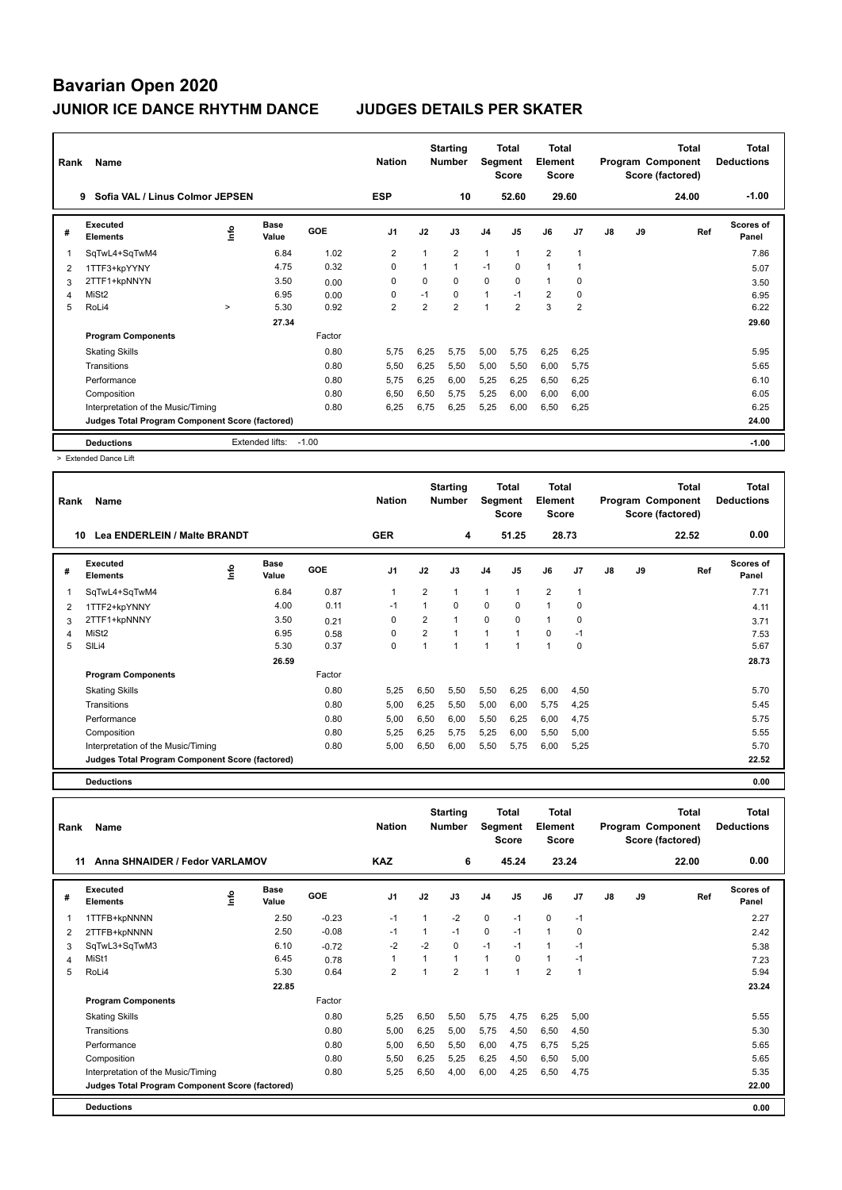| Rank | Name                                            |        |                      |         | <b>Nation</b>  |                | <b>Starting</b><br><b>Number</b> | Segment        | Total<br><b>Score</b> | <b>Total</b><br><b>Element</b><br><b>Score</b> |                |    |    | <b>Total</b><br>Program Component<br>Score (factored) | <b>Total</b><br><b>Deductions</b> |
|------|-------------------------------------------------|--------|----------------------|---------|----------------|----------------|----------------------------------|----------------|-----------------------|------------------------------------------------|----------------|----|----|-------------------------------------------------------|-----------------------------------|
|      | Sofia VAL / Linus Colmor JEPSEN<br>9            |        |                      |         | <b>ESP</b>     |                | 10                               |                | 52.60                 |                                                | 29.60          |    |    | 24.00                                                 | $-1.00$                           |
| #    | <b>Executed</b><br><b>Elements</b>              | ۴ů     | <b>Base</b><br>Value | GOE     | J <sub>1</sub> | J2             | J3                               | J <sub>4</sub> | J5                    | J6                                             | J <sub>7</sub> | J8 | J9 | Ref                                                   | Scores of<br>Panel                |
|      | SqTwL4+SqTwM4                                   |        | 6.84                 | 1.02    | 2              | 1              | $\overline{2}$                   | 1              |                       | $\overline{2}$                                 | -1             |    |    |                                                       | 7.86                              |
| 2    | 1TTF3+kpYYNY                                    |        | 4.75                 | 0.32    | 0              | $\mathbf{1}$   | $\mathbf{1}$                     | $-1$           | 0                     | $\mathbf{1}$                                   |                |    |    |                                                       | 5.07                              |
| 3    | 2TTF1+kpNNYN                                    |        | 3.50                 | 0.00    | 0              | 0              | $\Omega$                         | 0              | 0                     | $\mathbf{1}$                                   | 0              |    |    |                                                       | 3.50                              |
| 4    | MiSt <sub>2</sub>                               |        | 6.95                 | 0.00    | 0              | $-1$           | $\Omega$                         | $\mathbf{1}$   | $-1$                  | $\overline{2}$                                 | 0              |    |    |                                                       | 6.95                              |
| 5    | RoLi4                                           | $\geq$ | 5.30                 | 0.92    | $\overline{2}$ | $\overline{2}$ | $\overline{2}$                   | $\overline{1}$ | $\overline{2}$        | 3                                              | $\overline{2}$ |    |    |                                                       | 6.22                              |
|      |                                                 |        | 27.34                |         |                |                |                                  |                |                       |                                                |                |    |    |                                                       | 29.60                             |
|      | <b>Program Components</b>                       |        |                      | Factor  |                |                |                                  |                |                       |                                                |                |    |    |                                                       |                                   |
|      | <b>Skating Skills</b>                           |        |                      | 0.80    | 5.75           | 6,25           | 5,75                             | 5,00           | 5,75                  | 6,25                                           | 6,25           |    |    |                                                       | 5.95                              |
|      | Transitions                                     |        |                      | 0.80    | 5,50           | 6,25           | 5,50                             | 5,00           | 5,50                  | 6,00                                           | 5,75           |    |    |                                                       | 5.65                              |
|      | Performance                                     |        |                      | 0.80    | 5,75           | 6,25           | 6,00                             | 5,25           | 6,25                  | 6,50                                           | 6,25           |    |    |                                                       | 6.10                              |
|      | Composition                                     |        |                      | 0.80    | 6,50           | 6,50           | 5,75                             | 5,25           | 6,00                  | 6,00                                           | 6,00           |    |    |                                                       | 6.05                              |
|      | Interpretation of the Music/Timing              |        |                      | 0.80    | 6,25           | 6,75           | 6,25                             | 5,25           | 6,00                  | 6,50                                           | 6,25           |    |    |                                                       | 6.25                              |
|      | Judges Total Program Component Score (factored) |        |                      |         |                |                |                                  |                |                       |                                                |                |    |    |                                                       | 24.00                             |
|      | <b>Deductions</b>                               |        | Extended lifts:      | $-1.00$ |                |                |                                  |                |                       |                                                |                |    |    |                                                       | $-1.00$                           |

> Extended Dance Lift

| Name                               |            |                              |                                                 | <b>Nation</b>  |      |              |                                  |                |                                           |             |                                                  |    | <b>Total</b> | <b>Total</b><br><b>Deductions</b>     |
|------------------------------------|------------|------------------------------|-------------------------------------------------|----------------|------|--------------|----------------------------------|----------------|-------------------------------------------|-------------|--------------------------------------------------|----|--------------|---------------------------------------|
|                                    |            |                              |                                                 | <b>GER</b>     |      | 4            |                                  |                |                                           |             |                                                  |    | 22.52        | 0.00                                  |
| Executed<br><b>Elements</b>        | ١m         | <b>Base</b><br>Value         | GOE                                             | J <sub>1</sub> | J2   | J3           | J <sub>4</sub>                   | J <sub>5</sub> | J6                                        | J7          | J8                                               | J9 | Ref          | Scores of<br>Panel                    |
| SqTwL4+SqTwM4                      |            | 6.84                         | 0.87                                            | -1             | 2    | 1            | $\mathbf{1}$                     | $\mathbf{1}$   | $\overline{2}$                            | -1          |                                                  |    |              | 7.71                                  |
| 1TTF2+kpYNNY                       |            | 4.00                         | 0.11                                            | $-1$           | 1    | $\Omega$     | $\mathbf 0$                      | $\mathbf 0$    | $\mathbf{1}$                              | $\Omega$    |                                                  |    |              | 4.11                                  |
| 2TTF1+kpNNNY                       |            | 3.50                         | 0.21                                            | $\mathbf 0$    | 2    | 1            | $\mathbf 0$                      | 0              | $\mathbf{1}$                              | 0           |                                                  |    |              | 3.71                                  |
| MiSt <sub>2</sub>                  |            | 6.95                         | 0.58                                            | 0              | 2    | $\mathbf{1}$ | $\overline{1}$                   | $\mathbf{1}$   | $\mathbf 0$                               | $-1$        |                                                  |    |              | 7.53                                  |
| SILi4                              |            | 5.30                         | 0.37                                            | 0              | 1    | 1            | 1                                | $\overline{1}$ | $\mathbf{1}$                              | $\mathbf 0$ |                                                  |    |              | 5.67                                  |
|                                    |            | 26.59                        |                                                 |                |      |              |                                  |                |                                           |             |                                                  |    |              | 28.73                                 |
| <b>Program Components</b>          |            |                              | Factor                                          |                |      |              |                                  |                |                                           |             |                                                  |    |              |                                       |
| <b>Skating Skills</b>              |            |                              | 0.80                                            | 5,25           | 6,50 | 5,50         | 5,50                             | 6,25           | 6,00                                      | 4,50        |                                                  |    |              | 5.70                                  |
| Transitions                        |            |                              | 0.80                                            | 5,00           | 6,25 | 5,50         | 5,00                             | 6,00           | 5,75                                      | 4,25        |                                                  |    |              | 5.45                                  |
| Performance                        |            |                              | 0.80                                            | 5,00           | 6,50 | 6,00         | 5,50                             | 6,25           | 6,00                                      | 4,75        |                                                  |    |              | 5.75                                  |
| Composition                        |            |                              | 0.80                                            | 5,25           | 6,25 | 5,75         | 5,25                             | 6,00           | 5,50                                      | 5,00        |                                                  |    |              | 5.55                                  |
| Interpretation of the Music/Timing |            |                              | 0.80                                            | 5,00           | 6,50 | 6,00         | 5,50                             | 5,75           | 6,00                                      | 5,25        |                                                  |    |              | 5.70                                  |
|                                    |            |                              |                                                 |                |      |              |                                  |                |                                           |             |                                                  |    |              | 22.52                                 |
|                                    | Rank<br>10 | Lea ENDERLEIN / Malte BRANDT | Judges Total Program Component Score (factored) |                |      |              | <b>Starting</b><br><b>Number</b> |                | Total<br>Segment<br><b>Score</b><br>51.25 |             | <b>Total</b><br>Element<br><b>Score</b><br>28.73 |    |              | Program Component<br>Score (factored) |

**Deductions 0.00**

| Rank | Name                                            |    |                      |         | <b>Nation</b>  |              | <b>Starting</b><br><b>Number</b> | Segment        | <b>Total</b><br><b>Score</b> | <b>Total</b><br>Element<br><b>Score</b> |                |    |    | <b>Total</b><br>Program Component<br>Score (factored) | <b>Total</b><br><b>Deductions</b> |
|------|-------------------------------------------------|----|----------------------|---------|----------------|--------------|----------------------------------|----------------|------------------------------|-----------------------------------------|----------------|----|----|-------------------------------------------------------|-----------------------------------|
| 11   | Anna SHNAIDER / Fedor VARLAMOV                  |    |                      |         | <b>KAZ</b>     |              | 6                                |                | 45.24                        |                                         | 23.24          |    |    | 22.00                                                 | 0.00                              |
| #    | Executed<br><b>Elements</b>                     | ۴ů | <b>Base</b><br>Value | GOE     | J <sub>1</sub> | J2           | J3                               | J <sub>4</sub> | J <sub>5</sub>               | J6                                      | J <sub>7</sub> | J8 | J9 | Ref                                                   | <b>Scores of</b><br>Panel         |
| 1    | 1TTFB+kpNNNN                                    |    | 2.50                 | $-0.23$ | $-1$           | 1            | $-2$                             | $\mathbf 0$    | $-1$                         | 0                                       | $-1$           |    |    |                                                       | 2.27                              |
| 2    | 2TTFB+kpNNNN                                    |    | 2.50                 | $-0.08$ | $-1$           | 1            | $-1$                             | $\mathbf 0$    | $-1$                         | 1                                       | 0              |    |    |                                                       | 2.42                              |
| 3    | SqTwL3+SqTwM3                                   |    | 6.10                 | $-0.72$ | $-2$           | $-2$         | $\Omega$                         | $-1$           | $-1$                         | 1                                       | $-1$           |    |    |                                                       | 5.38                              |
| 4    | MiSt1                                           |    | 6.45                 | 0.78    |                | $\mathbf{1}$ | $\overline{1}$                   | $\mathbf{1}$   | 0                            | 1                                       | $-1$           |    |    |                                                       | 7.23                              |
| 5    | RoLi4                                           |    | 5.30                 | 0.64    | $\overline{2}$ | 1            | $\overline{2}$                   | $\overline{1}$ | $\overline{ }$               | $\overline{2}$                          | 1              |    |    |                                                       | 5.94                              |
|      |                                                 |    | 22.85                |         |                |              |                                  |                |                              |                                         |                |    |    |                                                       | 23.24                             |
|      | <b>Program Components</b>                       |    |                      | Factor  |                |              |                                  |                |                              |                                         |                |    |    |                                                       |                                   |
|      | <b>Skating Skills</b>                           |    |                      | 0.80    | 5,25           | 6.50         | 5,50                             | 5,75           | 4,75                         | 6,25                                    | 5,00           |    |    |                                                       | 5.55                              |
|      | Transitions                                     |    |                      | 0.80    | 5.00           | 6,25         | 5,00                             | 5,75           | 4,50                         | 6,50                                    | 4.50           |    |    |                                                       | 5.30                              |
|      | Performance                                     |    |                      | 0.80    | 5.00           | 6,50         | 5,50                             | 6,00           | 4,75                         | 6,75                                    | 5,25           |    |    |                                                       | 5.65                              |
|      | Composition                                     |    |                      | 0.80    | 5.50           | 6.25         | 5,25                             | 6,25           | 4,50                         | 6,50                                    | 5.00           |    |    |                                                       | 5.65                              |
|      | Interpretation of the Music/Timing              |    |                      | 0.80    | 5.25           | 6,50         | 4,00                             | 6,00           | 4,25                         | 6,50                                    | 4,75           |    |    |                                                       | 5.35                              |
|      | Judges Total Program Component Score (factored) |    |                      |         |                |              |                                  |                |                              |                                         |                |    |    |                                                       | 22.00                             |
|      | <b>Deductions</b>                               |    |                      |         |                |              |                                  |                |                              |                                         |                |    |    |                                                       | 0.00                              |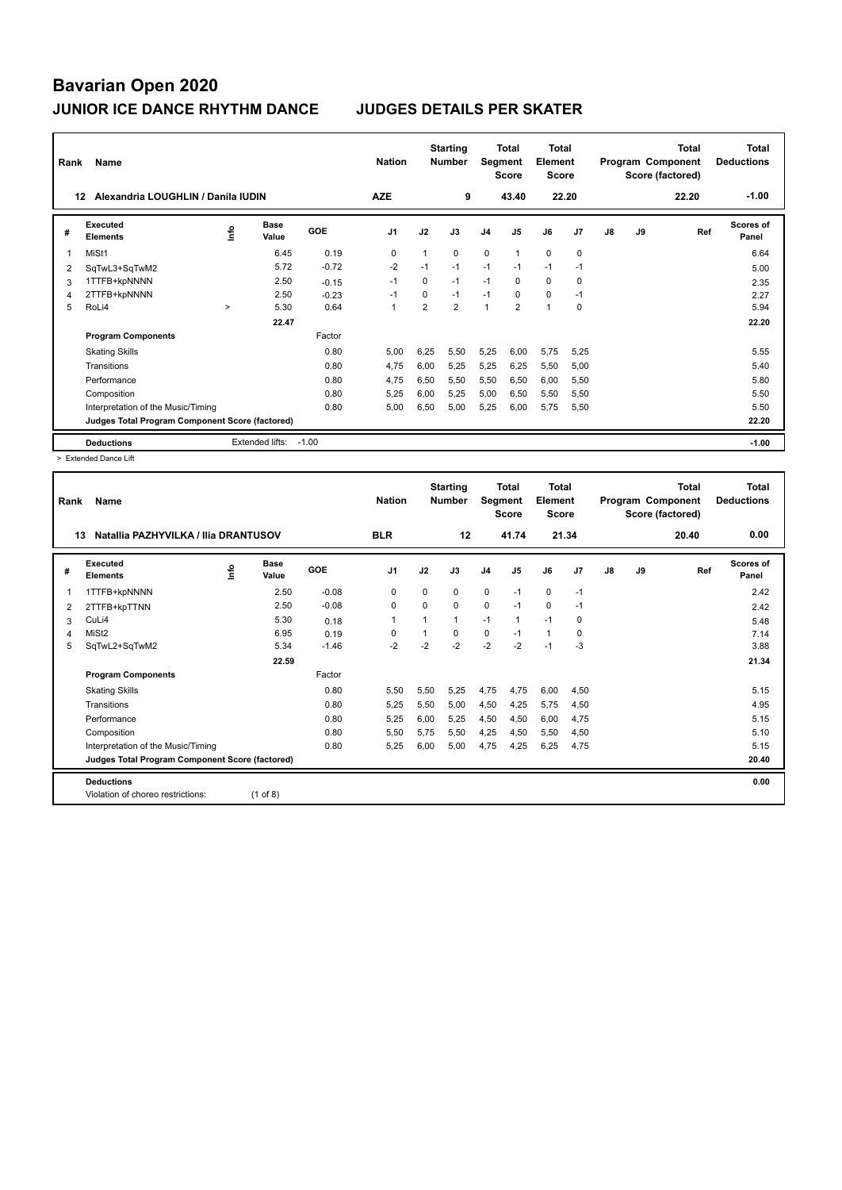| Rank           | Name                                            |        |                      |         | <b>Nation</b>  |                | <b>Starting</b><br><b>Number</b> | Segment        | <b>Total</b><br><b>Score</b> | <b>Total</b><br>Element<br><b>Score</b> |          |    |    | <b>Total</b><br>Program Component<br>Score (factored) | <b>Total</b><br><b>Deductions</b> |
|----------------|-------------------------------------------------|--------|----------------------|---------|----------------|----------------|----------------------------------|----------------|------------------------------|-----------------------------------------|----------|----|----|-------------------------------------------------------|-----------------------------------|
|                | Alexandria LOUGHLIN / Danila IUDIN<br>12        |        |                      |         | <b>AZE</b>     |                | 9                                |                | 43.40                        | 22.20                                   |          |    |    | 22.20                                                 | $-1.00$                           |
| #              | Executed<br><b>Elements</b>                     | lnfo   | <b>Base</b><br>Value | GOE     | J <sub>1</sub> | J2             | J3                               | J <sub>4</sub> | J <sub>5</sub>               | J6                                      | J7       | J8 | J9 | Ref                                                   | <b>Scores of</b><br>Panel         |
| 1              | MiSt1                                           |        | 6.45                 | 0.19    | 0              | 1              | 0                                | $\mathbf 0$    | $\mathbf{1}$                 | $\mathbf 0$                             | 0        |    |    |                                                       | 6.64                              |
| $\overline{2}$ | SqTwL3+SqTwM2                                   |        | 5.72                 | $-0.72$ | $-2$           | $-1$           | $-1$                             | $-1$           | $-1$                         | $-1$                                    | $-1$     |    |    |                                                       | 5.00                              |
| 3              | 1TTFB+kpNNNN                                    |        | 2.50                 | $-0.15$ | $-1$           | 0              | $-1$                             | $-1$           | 0                            | $\mathbf 0$                             | 0        |    |    |                                                       | 2.35                              |
| 4              | 2TTFB+kpNNNN                                    |        | 2.50                 | $-0.23$ | $-1$           | $\Omega$       | $-1$                             | $-1$           | $\Omega$                     | $\Omega$                                | $-1$     |    |    |                                                       | 2.27                              |
| 5              | RoLi4                                           | $\geq$ | 5.30                 | 0.64    | $\overline{1}$ | $\overline{2}$ | $\overline{2}$                   | $\overline{1}$ | $\overline{2}$               | $\mathbf{1}$                            | $\Omega$ |    |    |                                                       | 5.94                              |
|                |                                                 |        | 22.47                |         |                |                |                                  |                |                              |                                         |          |    |    |                                                       | 22.20                             |
|                | <b>Program Components</b>                       |        |                      | Factor  |                |                |                                  |                |                              |                                         |          |    |    |                                                       |                                   |
|                | <b>Skating Skills</b>                           |        |                      | 0.80    | 5.00           | 6,25           | 5,50                             | 5,25           | 6,00                         | 5,75                                    | 5,25     |    |    |                                                       | 5.55                              |
|                | Transitions                                     |        |                      | 0.80    | 4.75           | 6.00           | 5.25                             | 5,25           | 6,25                         | 5,50                                    | 5,00     |    |    |                                                       | 5.40                              |
|                | Performance                                     |        |                      | 0.80    | 4,75           | 6.50           | 5.50                             | 5,50           | 6.50                         | 6.00                                    | 5,50     |    |    |                                                       | 5.80                              |
|                | Composition                                     |        |                      | 0.80    | 5.25           | 6,00           | 5,25                             | 5,00           | 6,50                         | 5,50                                    | 5,50     |    |    |                                                       | 5.50                              |
|                | Interpretation of the Music/Timing              |        |                      | 0.80    | 5.00           | 6,50           | 5,00                             | 5,25           | 6.00                         | 5,75                                    | 5,50     |    |    |                                                       | 5.50                              |
|                | Judges Total Program Component Score (factored) |        |                      |         |                |                |                                  |                |                              |                                         |          |    |    |                                                       | 22.20                             |
|                | <b>Deductions</b>                               |        | Extended lifts:      | $-1.00$ |                |                |                                  |                |                              |                                         |          |    |    |                                                       | $-1.00$                           |

> Extended Dance Lift

| Rank | Name                                            |                            |         | <b>Nation</b>  |          | <b>Starting</b><br><b>Number</b> | Segment        | <b>Total</b><br><b>Score</b> | <b>Total</b><br>Element<br><b>Score</b> |                |               |    | <b>Total</b><br>Program Component<br>Score (factored) | <b>Total</b><br><b>Deductions</b> |
|------|-------------------------------------------------|----------------------------|---------|----------------|----------|----------------------------------|----------------|------------------------------|-----------------------------------------|----------------|---------------|----|-------------------------------------------------------|-----------------------------------|
| 13   | Natallia PAZHYVILKA / Ilia DRANTUSOV            |                            |         | <b>BLR</b>     |          | 12                               |                | 41.74                        | 21.34                                   |                |               |    | 20.40                                                 | 0.00                              |
| #    | Executed<br><b>Elements</b>                     | <b>Base</b><br>١m<br>Value | GOE     | J <sub>1</sub> | J2       | J3                               | J <sub>4</sub> | J5                           | J6                                      | J <sub>7</sub> | $\mathsf{J}8$ | J9 | Ref                                                   | Scores of<br>Panel                |
| 1    | 1TTFB+kpNNNN                                    | 2.50                       | $-0.08$ | $\mathbf 0$    | $\Omega$ | $\Omega$                         | $\mathbf 0$    | $-1$                         | $\mathbf 0$                             | $-1$           |               |    |                                                       | 2.42                              |
| 2    | 2TTFB+kpTTNN                                    | 2.50                       | $-0.08$ | 0              | $\Omega$ | $\Omega$                         | $\mathbf 0$    | $-1$                         | $\mathbf 0$                             | $-1$           |               |    |                                                       | 2.42                              |
| 3    | CuLi4                                           | 5.30                       | 0.18    | $\mathbf 1$    | 1        | $\mathbf{1}$                     | $-1$           | 1                            | $-1$                                    | $\Omega$       |               |    |                                                       | 5.48                              |
| 4    | MiSt <sub>2</sub>                               | 6.95                       | 0.19    | $\mathbf 0$    | 1        | $\Omega$                         | $\mathbf 0$    | $-1$                         | $\mathbf{1}$                            | 0              |               |    |                                                       | 7.14                              |
| 5    | SqTwL2+SqTwM2                                   | 5.34                       | $-1.46$ | $-2$           | $-2$     | $-2$                             | $-2$           | $-2$                         | $-1$                                    | $-3$           |               |    |                                                       | 3.88                              |
|      |                                                 | 22.59                      |         |                |          |                                  |                |                              |                                         |                |               |    |                                                       | 21.34                             |
|      | <b>Program Components</b>                       |                            | Factor  |                |          |                                  |                |                              |                                         |                |               |    |                                                       |                                   |
|      | <b>Skating Skills</b>                           |                            | 0.80    | 5,50           | 5,50     | 5,25                             | 4,75           | 4,75                         | 6,00                                    | 4,50           |               |    |                                                       | 5.15                              |
|      | Transitions                                     |                            | 0.80    | 5,25           | 5,50     | 5.00                             | 4,50           | 4,25                         | 5,75                                    | 4,50           |               |    |                                                       | 4.95                              |
|      | Performance                                     |                            | 0.80    | 5,25           | 6,00     | 5,25                             | 4,50           | 4,50                         | 6,00                                    | 4,75           |               |    |                                                       | 5.15                              |
|      | Composition                                     |                            | 0.80    | 5,50           | 5,75     | 5,50                             | 4,25           | 4,50                         | 5,50                                    | 4,50           |               |    |                                                       | 5.10                              |
|      | Interpretation of the Music/Timing              |                            | 0.80    | 5.25           | 6.00     | 5.00                             | 4.75           | 4.25                         | 6.25                                    | 4.75           |               |    |                                                       | 5.15                              |
|      | Judges Total Program Component Score (factored) |                            |         |                |          |                                  |                |                              |                                         |                |               |    |                                                       | 20.40                             |
|      | <b>Deductions</b>                               |                            |         |                |          |                                  |                |                              |                                         |                |               |    |                                                       | 0.00                              |
|      | Violation of choreo restrictions:               | $(1$ of 8)                 |         |                |          |                                  |                |                              |                                         |                |               |    |                                                       |                                   |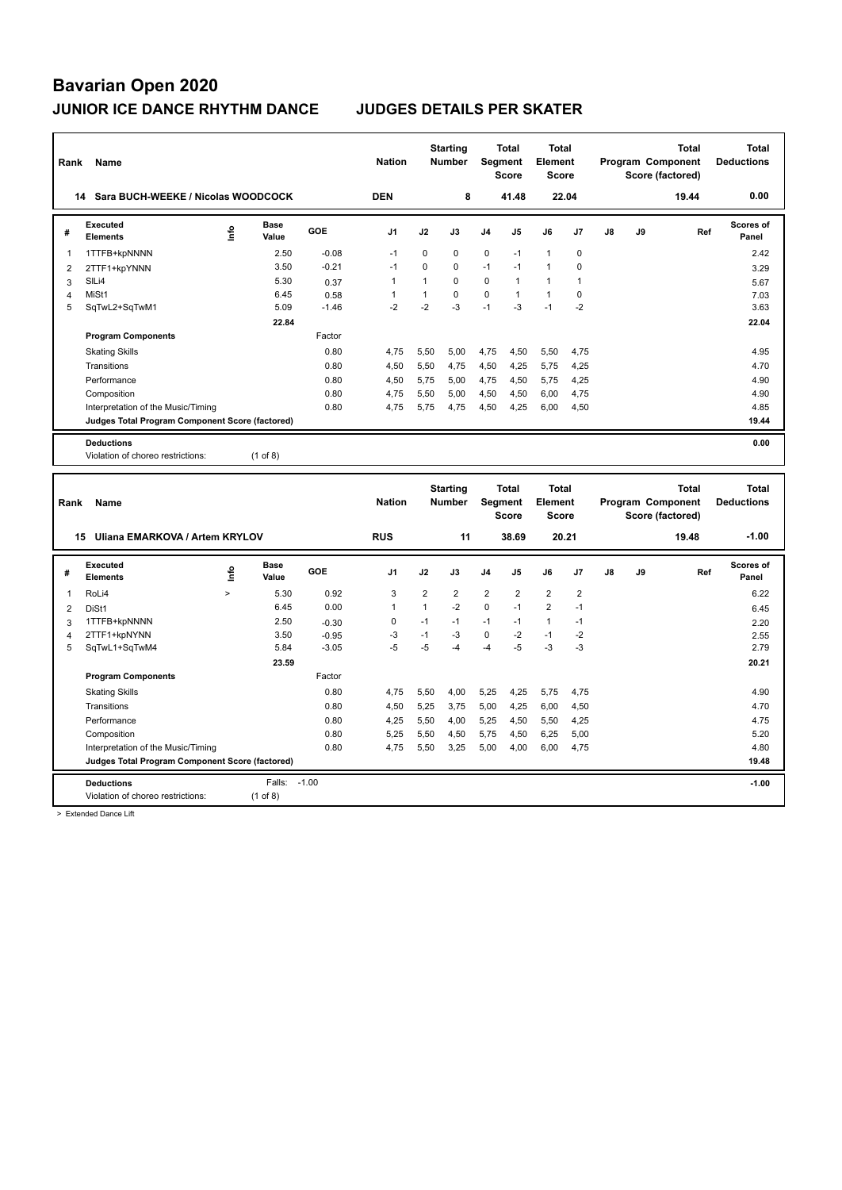| Rank           | Name                                            |        |               |         | <b>Nation</b> |                | <b>Starting</b><br><b>Number</b> | Segment        | Total<br><b>Score</b> | <b>Total</b><br>Element<br><b>Score</b> |                |    |    | Program Component<br>Score (factored) | <b>Total</b> | <b>Total</b><br><b>Deductions</b> |
|----------------|-------------------------------------------------|--------|---------------|---------|---------------|----------------|----------------------------------|----------------|-----------------------|-----------------------------------------|----------------|----|----|---------------------------------------|--------------|-----------------------------------|
|                | 14 Sara BUCH-WEEKE / Nicolas WOODCOCK           |        |               |         | <b>DEN</b>    |                | 8                                |                | 41.48                 |                                         | 22.04          |    |    |                                       | 19.44        | 0.00                              |
| #              | <b>Executed</b><br><b>Elements</b>              | ۴      | Base<br>Value | GOE     | J1            | J2             | J3                               | J4             | J5                    | J6                                      | J7             | J8 | J9 |                                       | Ref          | Scores of<br>Panel                |
| $\mathbf 1$    | 1TTFB+kpNNNN                                    |        | 2.50          | $-0.08$ | $-1$          | $\mathbf 0$    | $\mathbf 0$                      | $\mathbf 0$    | $-1$                  | $\mathbf{1}$                            | $\mathbf 0$    |    |    |                                       |              | 2.42                              |
| $\overline{c}$ | 2TTF1+kpYNNN                                    |        | 3.50          | $-0.21$ | $-1$          | $\Omega$       | $\Omega$                         | $-1$           | $-1$                  | $\mathbf{1}$                            | 0              |    |    |                                       |              | 3.29                              |
| 3              | SILi4                                           |        | 5.30          | 0.37    | $\mathbf{1}$  | $\mathbf{1}$   | $\mathbf 0$                      | $\mathbf 0$    | $\mathbf{1}$          | $\mathbf{1}$                            | $\overline{1}$ |    |    |                                       |              | 5.67                              |
| $\overline{4}$ | MiSt1                                           |        | 6.45          | 0.58    | $\mathbf{1}$  | $\mathbf{1}$   | 0                                | 0              | $\mathbf{1}$          | $\mathbf{1}$                            | 0              |    |    |                                       |              | 7.03                              |
| 5              | SqTwL2+SqTwM1                                   |        | 5.09          | $-1.46$ | $-2$          | $-2$           | $-3$                             | $-1$           | $-3$                  | $-1$                                    | $-2$           |    |    |                                       |              | 3.63                              |
|                |                                                 |        | 22.84         |         |               |                |                                  |                |                       |                                         |                |    |    |                                       |              | 22.04                             |
|                | <b>Program Components</b>                       |        |               | Factor  |               |                |                                  |                |                       |                                         |                |    |    |                                       |              |                                   |
|                | <b>Skating Skills</b>                           |        |               | 0.80    | 4,75          | 5,50           | 5,00                             | 4,75           | 4,50                  | 5,50                                    | 4,75           |    |    |                                       |              | 4.95                              |
|                | Transitions                                     |        |               | 0.80    | 4,50          | 5,50           | 4,75                             | 4,50           | 4,25                  | 5,75                                    | 4,25           |    |    |                                       |              | 4.70                              |
|                | Performance                                     |        |               | 0.80    | 4,50          | 5,75           | 5,00                             | 4,75           | 4,50                  | 5,75                                    | 4,25           |    |    |                                       |              | 4.90                              |
|                | Composition                                     |        |               | 0.80    | 4,75          | 5,50           | 5,00                             | 4,50           | 4,50                  | 6,00                                    | 4,75           |    |    |                                       |              | 4.90                              |
|                | Interpretation of the Music/Timing              |        |               | 0.80    | 4,75          | 5,75           | 4,75                             | 4,50           | 4,25                  | 6,00                                    | 4,50           |    |    |                                       |              | 4.85<br>19.44                     |
|                | Judges Total Program Component Score (factored) |        |               |         |               |                |                                  |                |                       |                                         |                |    |    |                                       |              |                                   |
|                | <b>Deductions</b>                               |        |               |         |               |                |                                  |                |                       |                                         |                |    |    |                                       |              | 0.00                              |
|                | Violation of choreo restrictions:               |        | $(1$ of 8)    |         |               |                |                                  |                |                       |                                         |                |    |    |                                       |              |                                   |
|                |                                                 |        |               |         |               |                |                                  |                |                       |                                         |                |    |    |                                       |              |                                   |
|                |                                                 |        |               |         |               |                |                                  |                |                       |                                         |                |    |    |                                       |              |                                   |
|                |                                                 |        |               |         |               |                | <b>Starting</b>                  |                | <b>Total</b>          | <b>Total</b>                            |                |    |    |                                       | <b>Total</b> | <b>Total</b>                      |
| Rank           | <b>Name</b>                                     |        |               |         | <b>Nation</b> |                | Number                           | Segment        |                       | Element                                 |                |    |    | Program Component                     |              | <b>Deductions</b>                 |
|                |                                                 |        |               |         |               |                |                                  |                | <b>Score</b>          | <b>Score</b>                            |                |    |    | Score (factored)                      |              |                                   |
|                | 15 Uliana EMARKOVA / Artem KRYLOV               |        |               |         | <b>RUS</b>    |                | 11                               |                | 38.69                 | 20.21                                   |                |    |    |                                       | 19.48        | $-1.00$                           |
| #              | <b>Executed</b><br><b>Elements</b>              | ١m     | Base<br>Value | GOE     | J1            | J2             | J3                               | J4             | J5                    | J6                                      | J7             | J8 | J9 |                                       | Ref          | <b>Scores of</b><br>Panel         |
| 1              | RoLi4                                           | $\geq$ | 5.30          | 0.92    | 3             | $\overline{2}$ | 2                                | $\overline{2}$ | $\overline{2}$        | $\overline{2}$                          | $\overline{2}$ |    |    |                                       |              | 6.22                              |
| $\overline{2}$ | DiSt1                                           |        | 6.45          | 0.00    | $\mathbf{1}$  | $\mathbf{1}$   | $-2$                             | $\mathbf 0$    | $-1$                  | $\overline{2}$                          | $-1$           |    |    |                                       |              | 6.45                              |
| 3              | 1TTFB+kpNNNN                                    |        | 2.50          | $-0.30$ | 0             | $-1$           | $-1$                             | $-1$           | $-1$                  | $\mathbf{1}$                            | $-1$           |    |    |                                       |              | 2.20                              |
| $\overline{4}$ | 2TTF1+kpNYNN                                    |        | 3.50          | $-0.95$ | $-3$          | $-1$           | $-3$                             | $\mathbf 0$    | $-2$                  | $-1$                                    | $-2$           |    |    |                                       |              | 2.55                              |
| 5              | SqTwL1+SqTwM4                                   |        | 5.84          | $-3.05$ | $-5$          | $-5$           | $-4$                             | $-4$           | $-5$                  | $-3$                                    | $-3$           |    |    |                                       |              | 2.79                              |
|                |                                                 |        | 23.59         |         |               |                |                                  |                |                       |                                         |                |    |    |                                       |              | 20.21                             |
|                | <b>Program Components</b>                       |        |               | Factor  |               |                |                                  |                |                       |                                         |                |    |    |                                       |              |                                   |
|                | <b>Skating Skills</b>                           |        |               | 0.80    | 4,75          | 5,50           | 4,00                             | 5,25           | 4,25                  | 5,75                                    | 4,75           |    |    |                                       |              | 4.90                              |
|                | Transitions                                     |        |               | 0.80    | 4.50          | 5,25           | 3,75                             | 5,00           | 4,25                  | 6,00                                    | 4,50           |    |    |                                       |              | 4.70                              |
|                | Performance                                     |        |               | 0.80    | 4,25          | 5,50           | 4,00                             | 5,25           | 4,50                  | 5,50                                    | 4,25           |    |    |                                       |              | 4.75                              |
|                | Composition                                     |        |               | 0.80    | 5,25          | 5,50           | 4,50                             | 5,75           | 4,50                  | 6,25                                    | 5,00           |    |    |                                       |              | 5.20                              |
|                | Interpretation of the Music/Timing              |        |               | 0.80    | 4,75          | 5,50           | 3,25                             | 5,00           | 4,00                  | 6,00                                    | 4,75           |    |    |                                       |              | 4.80                              |
|                | Judges Total Program Component Score (factored) |        |               |         |               |                |                                  |                |                       |                                         |                |    |    |                                       |              | 19.48                             |
|                | <b>Deductions</b>                               |        | Falls: -1.00  |         |               |                |                                  |                |                       |                                         |                |    |    |                                       |              | $-1.00$                           |

> Extended Dance Lift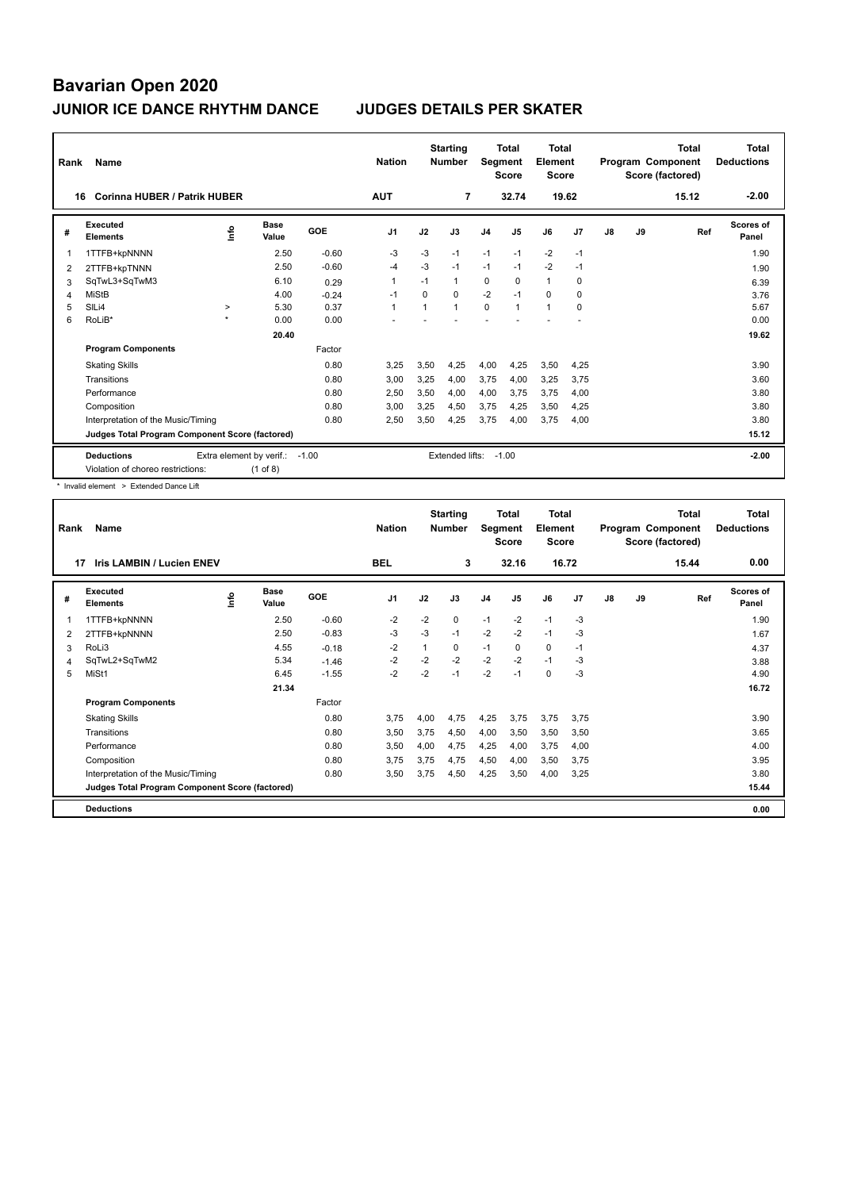ı

| Rank                                                                                                                                                                                                                                                                                                                                                       | Name                               |                     |               |            | <b>Nation</b>  |                | <b>Starting</b><br><b>Number</b> | <b>Segment</b> | Total<br><b>Score</b> | <b>Total</b><br>Element<br>Score |       |               |         | <b>Total</b><br>Program Component<br>Score (factored) | <b>Total</b><br><b>Deductions</b> |
|------------------------------------------------------------------------------------------------------------------------------------------------------------------------------------------------------------------------------------------------------------------------------------------------------------------------------------------------------------|------------------------------------|---------------------|---------------|------------|----------------|----------------|----------------------------------|----------------|-----------------------|----------------------------------|-------|---------------|---------|-------------------------------------------------------|-----------------------------------|
|                                                                                                                                                                                                                                                                                                                                                            | Corinna HUBER / Patrik HUBER<br>16 |                     |               |            | <b>AUT</b>     |                | 7                                |                | 32.74                 |                                  | 19.62 |               |         | 15.12                                                 | $-2.00$                           |
| #                                                                                                                                                                                                                                                                                                                                                          | Executed<br><b>Elements</b>        | lnfo                | Base<br>Value | <b>GOE</b> | J <sub>1</sub> | J2             | J3                               | J <sub>4</sub> | J5                    | J6                               | J7    | $\mathsf{J}8$ | J9      | Ref                                                   | Scores of<br>Panel                |
|                                                                                                                                                                                                                                                                                                                                                            | 1TTFB+kpNNNN                       |                     | 2.50          | $-0.60$    | $-3$           | $-3$           | $-1$                             | $-1$           | $-1$                  | $-2$                             | $-1$  |               |         |                                                       | 1.90                              |
| 2                                                                                                                                                                                                                                                                                                                                                          | 2TTFB+kpTNNN                       |                     | 2.50          | $-0.60$    | -4             | $-3$           | $-1$                             | $-1$           | $-1$                  | $-2$                             | $-1$  |               |         |                                                       | 1.90                              |
| 3                                                                                                                                                                                                                                                                                                                                                          | SqTwL3+SqTwM3                      |                     | 6.10          | 0.29       | $\overline{1}$ | $-1$           | 1                                | $\mathbf 0$    | 0                     | $\mathbf{1}$                     | 0     |               |         |                                                       | 6.39                              |
| 4                                                                                                                                                                                                                                                                                                                                                          | <b>MiStB</b>                       |                     | 4.00          | $-0.24$    | -1             | 0              | 0                                | $-2$           | $-1$                  | 0                                | 0     |               |         |                                                       | 3.76                              |
| 5                                                                                                                                                                                                                                                                                                                                                          | SILi4                              | $\geq$              | 5.30          | 0.37       | $\overline{1}$ | $\overline{1}$ | 1                                | $\mathbf 0$    | $\mathbf{1}$          | $\mathbf{1}$                     | 0     |               |         |                                                       | 5.67                              |
| 6                                                                                                                                                                                                                                                                                                                                                          | RoLiB*                             | $\boldsymbol{\Phi}$ | 0.00          | 0.00       |                |                |                                  |                |                       |                                  |       |               |         |                                                       | 0.00                              |
|                                                                                                                                                                                                                                                                                                                                                            |                                    |                     |               |            |                |                |                                  |                |                       |                                  |       | 19.62         |         |                                                       |                                   |
|                                                                                                                                                                                                                                                                                                                                                            | <b>Program Components</b>          |                     |               | Factor     |                |                |                                  |                |                       |                                  |       |               |         |                                                       |                                   |
|                                                                                                                                                                                                                                                                                                                                                            | <b>Skating Skills</b>              |                     |               | 0.80       | 3,25           | 3,50           | 4,25                             | 4,00           | 4,25                  | 3,50                             | 4,25  |               |         |                                                       | 3.90                              |
|                                                                                                                                                                                                                                                                                                                                                            | Transitions                        |                     |               | 0.80       | 3,00           | 3,25           | 4.00                             | 3,75           | 4,00                  | 3,25                             | 3,75  |               |         |                                                       | 3.60                              |
|                                                                                                                                                                                                                                                                                                                                                            | Performance                        |                     |               | 0.80       | 2,50           | 3,50           | 4,00                             | 4,00           | 3,75                  | 3,75                             | 4,00  |               |         |                                                       | 3.80                              |
|                                                                                                                                                                                                                                                                                                                                                            | Composition                        |                     |               | 0.80       | 3,00           | 3,25           | 4,50                             | 3,75           | 4,25                  | 3,50                             | 4,25  |               |         |                                                       | 3.80                              |
|                                                                                                                                                                                                                                                                                                                                                            | Interpretation of the Music/Timing |                     |               | 0.80       | 2,50           | 3,50           | 4,25                             | 3,75           | 4,00                  | 3,75                             | 4,00  |               |         |                                                       | 3.80                              |
| Judges Total Program Component Score (factored)                                                                                                                                                                                                                                                                                                            |                                    |                     |               |            |                |                |                                  |                |                       |                                  |       | 15.12         |         |                                                       |                                   |
| <b>Deductions</b><br>Extra element by verif.:<br>Extended lifts:<br>$-1.00$<br>$-1.00$<br>$\mathbf{v} = \mathbf{v}$ . The contract of the contract of the contract of the contract of the contract of the contract of the contract of the contract of the contract of the contract of the contract of the contract of the contrac<br>$\sqrt{4}$ $\sqrt{2}$ |                                    |                     |               |            |                |                |                                  |                |                       |                                  |       |               | $-2.00$ |                                                       |                                   |

Violation of choreo restrictions: (1 of 8)

\* Invalid element > Extended Dance Lift

| Rank | Name                                            |    |                      |         | <b>Nation</b>  |      | <b>Starting</b><br><b>Number</b> | <b>Segment</b> | <b>Total</b><br><b>Score</b> | <b>Total</b><br>Element<br><b>Score</b> |                |               |    | <b>Total</b><br>Program Component<br>Score (factored) | <b>Total</b><br><b>Deductions</b> |
|------|-------------------------------------------------|----|----------------------|---------|----------------|------|----------------------------------|----------------|------------------------------|-----------------------------------------|----------------|---------------|----|-------------------------------------------------------|-----------------------------------|
| 17   | <b>Iris LAMBIN / Lucien ENEV</b>                |    |                      |         | <b>BEL</b>     |      | 3                                |                | 32.16                        | 16.72                                   |                |               |    | 15.44                                                 | 0.00                              |
| #    | <b>Executed</b><br><b>Elements</b>              | ١m | <b>Base</b><br>Value | GOE     | J <sub>1</sub> | J2   | J3                               | J <sub>4</sub> | J5                           | J6                                      | J <sub>7</sub> | $\mathsf{J}8$ | J9 | Ref                                                   | <b>Scores of</b><br>Panel         |
| 1    | 1TTFB+kpNNNN                                    |    | 2.50                 | $-0.60$ | $-2$           | $-2$ | 0                                | $-1$           | $-2$                         | $-1$                                    | -3             |               |    |                                                       | 1.90                              |
| 2    | 2TTFB+kpNNNN                                    |    | 2.50                 | $-0.83$ | $-3$           | $-3$ | $-1$                             | $-2$           | $-2$                         | $-1$                                    | $-3$           |               |    |                                                       | 1.67                              |
| 3    | RoLi3                                           |    | 4.55                 | $-0.18$ | -2             | 1    | 0                                | $-1$           | 0                            | $\mathbf 0$                             | $-1$           |               |    |                                                       | 4.37                              |
| 4    | SqTwL2+SqTwM2                                   |    | 5.34                 | $-1.46$ | $-2$           | $-2$ | $-2$                             | $-2$           | $-2$                         | $-1$                                    | -3             |               |    |                                                       | 3.88                              |
| 5    | MiSt1                                           |    | 6.45                 | $-1.55$ | $-2$           | $-2$ | $-1$                             | $-2$           | $-1$                         | $\mathbf 0$                             | -3             |               |    |                                                       | 4.90                              |
|      |                                                 |    | 21.34                |         |                |      |                                  |                |                              |                                         |                |               |    |                                                       | 16.72                             |
|      | <b>Program Components</b>                       |    |                      | Factor  |                |      |                                  |                |                              |                                         |                |               |    |                                                       |                                   |
|      | <b>Skating Skills</b>                           |    |                      | 0.80    | 3.75           | 4,00 | 4,75                             | 4,25           | 3,75                         | 3,75                                    | 3.75           |               |    |                                                       | 3.90                              |
|      | Transitions                                     |    |                      | 0.80    | 3,50           | 3,75 | 4,50                             | 4,00           | 3,50                         | 3,50                                    | 3,50           |               |    |                                                       | 3.65                              |
|      | Performance                                     |    |                      | 0.80    | 3,50           | 4,00 | 4,75                             | 4,25           | 4,00                         | 3,75                                    | 4,00           |               |    |                                                       | 4.00                              |
|      | Composition                                     |    |                      | 0.80    | 3.75           | 3,75 | 4,75                             | 4,50           | 4,00                         | 3,50                                    | 3,75           |               |    |                                                       | 3.95                              |
|      | Interpretation of the Music/Timing              |    |                      | 0.80    | 3.50           | 3,75 | 4,50                             | 4,25           | 3,50                         | 4,00                                    | 3,25           |               |    |                                                       | 3.80                              |
|      | Judges Total Program Component Score (factored) |    |                      |         |                |      |                                  |                |                              |                                         |                |               |    |                                                       | 15.44                             |
|      | <b>Deductions</b>                               |    |                      |         |                |      |                                  |                |                              |                                         |                |               |    |                                                       | 0.00                              |